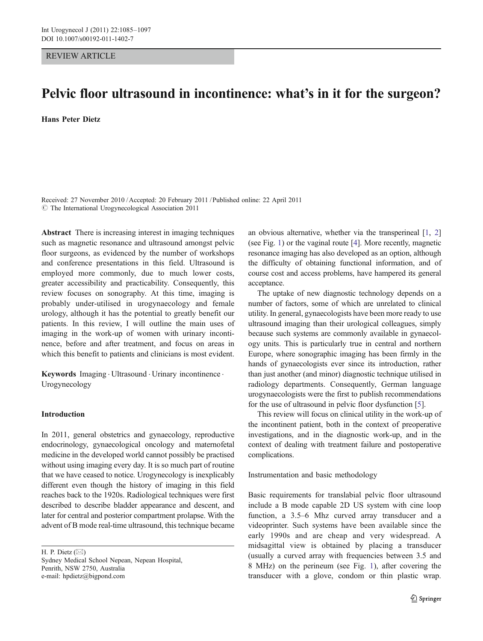#### REVIEW ARTICLE

# Pelvic floor ultrasound in incontinence: what's in it for the surgeon?

Hans Peter Dietz

Received: 27 November 2010 /Accepted: 20 February 2011 / Published online: 22 April 2011  $\circ$  The International Urogynecological Association 2011

Abstract There is increasing interest in imaging techniques such as magnetic resonance and ultrasound amongst pelvic floor surgeons, as evidenced by the number of workshops and conference presentations in this field. Ultrasound is employed more commonly, due to much lower costs, greater accessibility and practicability. Consequently, this review focuses on sonography. At this time, imaging is probably under-utilised in urogynaecology and female urology, although it has the potential to greatly benefit our patients. In this review, I will outline the main uses of imaging in the work-up of women with urinary incontinence, before and after treatment, and focus on areas in which this benefit to patients and clinicians is most evident.

Keywords Imaging . Ultrasound . Urinary incontinence . Urogynecology

### Introduction

In 2011, general obstetrics and gynaecology, reproductive endocrinology, gynaecological oncology and maternofetal medicine in the developed world cannot possibly be practised without using imaging every day. It is so much part of routine that we have ceased to notice. Urogynecology is inexplicably different even though the history of imaging in this field reaches back to the 1920s. Radiological techniques were first described to describe bladder appearance and descent, and later for central and posterior compartment prolapse. With the advent of B mode real-time ultrasound, this technique became

H. P. Dietz  $(\boxtimes)$ 

Sydney Medical School Nepean, Nepean Hospital, Penrith, NSW 2750, Australia e-mail: hpdietz@bigpond.com

an obvious alternative, whether via the transperineal [\[1](#page-10-0), [2](#page-10-0)] (see Fig. [1](#page-1-0)) or the vaginal route [\[4\]](#page-10-0). More recently, magnetic resonance imaging has also developed as an option, although the difficulty of obtaining functional information, and of course cost and access problems, have hampered its general acceptance.

The uptake of new diagnostic technology depends on a number of factors, some of which are unrelated to clinical utility. In general, gynaecologists have been more ready to use ultrasound imaging than their urological colleagues, simply because such systems are commonly available in gynaecology units. This is particularly true in central and northern Europe, where sonographic imaging has been firmly in the hands of gynaecologists ever since its introduction, rather than just another (and minor) diagnostic technique utilised in radiology departments. Consequently, German language urogynaecologists were the first to publish recommendations for the use of ultrasound in pelvic floor dysfunction [[5\]](#page-10-0).

This review will focus on clinical utility in the work-up of the incontinent patient, both in the context of preoperative investigations, and in the diagnostic work-up, and in the context of dealing with treatment failure and postoperative complications.

Instrumentation and basic methodology

Basic requirements for translabial pelvic floor ultrasound include a B mode capable 2D US system with cine loop function, a 3.5–6 Mhz curved array transducer and a videoprinter. Such systems have been available since the early 1990s and are cheap and very widespread. A midsagittal view is obtained by placing a transducer (usually a curved array with frequencies between 3.5 and 8 MHz) on the perineum (see Fig. [1\)](#page-1-0), after covering the transducer with a glove, condom or thin plastic wrap.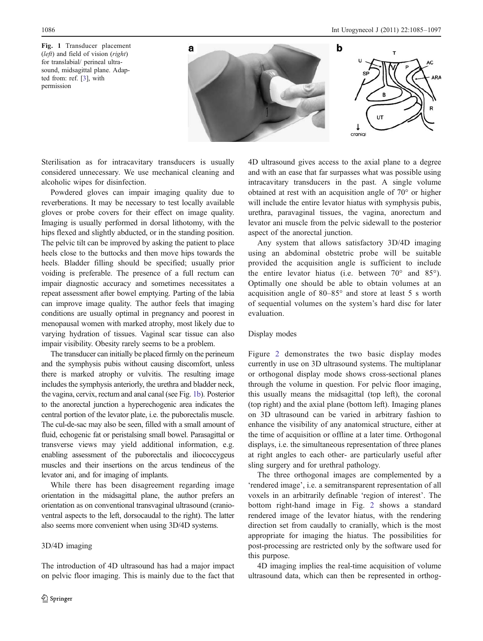<span id="page-1-0"></span>Fig. 1 Transducer placement (*left*) and field of vision (*right*) for translabial/ perineal ultrasound, midsagittal plane. Adapted from: ref. [\[3](#page-10-0)], with permission



Sterilisation as for intracavitary transducers is usually considered unnecessary. We use mechanical cleaning and alcoholic wipes for disinfection.

Powdered gloves can impair imaging quality due to reverberations. It may be necessary to test locally available gloves or probe covers for their effect on image quality. Imaging is usually performed in dorsal lithotomy, with the hips flexed and slightly abducted, or in the standing position. The pelvic tilt can be improved by asking the patient to place heels close to the buttocks and then move hips towards the heels. Bladder filling should be specified; usually prior voiding is preferable. The presence of a full rectum can impair diagnostic accuracy and sometimes necessitates a repeat assessment after bowel emptying. Parting of the labia can improve image quality. The author feels that imaging conditions are usually optimal in pregnancy and poorest in menopausal women with marked atrophy, most likely due to varying hydration of tissues. Vaginal scar tissue can also impair visibility. Obesity rarely seems to be a problem.

The transducer can initially be placed firmly on the perineum and the symphysis pubis without causing discomfort, unless there is marked atrophy or vulvitis. The resulting image includes the symphysis anteriorly, the urethra and bladder neck, the vagina, cervix, rectum and anal canal (see Fig. 1b). Posterior to the anorectal junction a hyperechogenic area indicates the central portion of the levator plate, i.e. the puborectalis muscle. The cul-de-sac may also be seen, filled with a small amount of fluid, echogenic fat or peristalsing small bowel. Parasagittal or transverse views may yield additional information, e.g. enabling assessment of the puborectalis and iliococcygeus muscles and their insertions on the arcus tendineus of the levator ani, and for imaging of implants.

While there has been disagreement regarding image orientation in the midsagittal plane, the author prefers an orientation as on conventional transvaginal ultrasound (cranioventral aspects to the left, dorsocaudal to the right). The latter also seems more convenient when using 3D/4D systems.

## 3D/4D imaging

The introduction of 4D ultrasound has had a major impact on pelvic floor imaging. This is mainly due to the fact that 4D ultrasound gives access to the axial plane to a degree and with an ease that far surpasses what was possible using intracavitary transducers in the past. A single volume obtained at rest with an acquisition angle of 70° or higher will include the entire levator hiatus with symphysis pubis, urethra, paravaginal tissues, the vagina, anorectum and levator ani muscle from the pelvic sidewall to the posterior aspect of the anorectal junction.

Any system that allows satisfactory 3D/4D imaging using an abdominal obstetric probe will be suitable provided the acquisition angle is sufficient to include the entire levator hiatus (i.e. between 70° and 85°). Optimally one should be able to obtain volumes at an acquisition angle of 80–85° and store at least 5 s worth of sequential volumes on the system's hard disc for later evaluation.

#### Display modes

Figure [2](#page-2-0) demonstrates the two basic display modes currently in use on 3D ultrasound systems. The multiplanar or orthogonal display mode shows cross-sectional planes through the volume in question. For pelvic floor imaging, this usually means the midsagittal (top left), the coronal (top right) and the axial plane (bottom left). Imaging planes on 3D ultrasound can be varied in arbitrary fashion to enhance the visibility of any anatomical structure, either at the time of acquisition or offline at a later time. Orthogonal displays, i.e. the simultaneous representation of three planes at right angles to each other- are particularly useful after sling surgery and for urethral pathology.

The three orthogonal images are complemented by a 'rendered image', i.e. a semitransparent representation of all voxels in an arbitrarily definable 'region of interest'. The bottom right-hand image in Fig. [2](#page-2-0) shows a standard rendered image of the levator hiatus, with the rendering direction set from caudally to cranially, which is the most appropriate for imaging the hiatus. The possibilities for post-processing are restricted only by the software used for this purpose.

4D imaging implies the real-time acquisition of volume ultrasound data, which can then be represented in orthog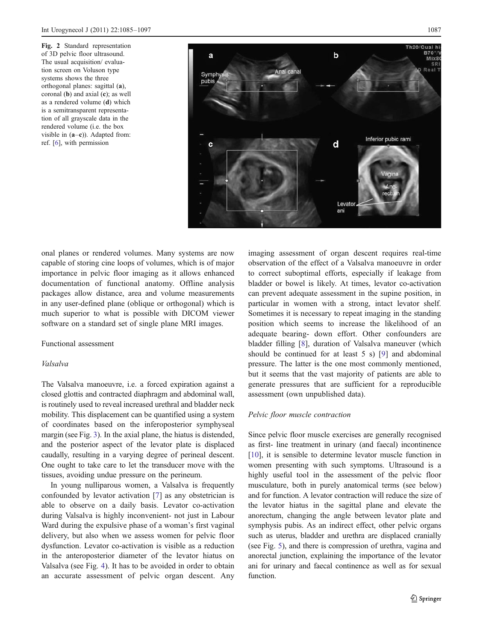<span id="page-2-0"></span>Fig. 2 Standard representation of 3D pelvic floor ultrasound. The usual acquisition/ evaluation screen on Voluson type systems shows the three orthogonal planes: sagittal (a), coronal (b) and axial (c); as well as a rendered volume (d) which is a semitransparent representation of all grayscale data in the rendered volume (i.e. the box visible in  $(a-c)$ ). Adapted from: ref. [[6](#page-10-0)], with permission



onal planes or rendered volumes. Many systems are now capable of storing cine loops of volumes, which is of major importance in pelvic floor imaging as it allows enhanced documentation of functional anatomy. Offline analysis packages allow distance, area and volume measurements in any user-defined plane (oblique or orthogonal) which is much superior to what is possible with DICOM viewer software on a standard set of single plane MRI images.

#### Functional assessment

#### Valsalva

The Valsalva manoeuvre, i.e. a forced expiration against a closed glottis and contracted diaphragm and abdominal wall, is routinely used to reveal increased urethral and bladder neck mobility. This displacement can be quantified using a system of coordinates based on the inferoposterior symphyseal margin (see Fig. [3](#page-3-0)). In the axial plane, the hiatus is distended, and the posterior aspect of the levator plate is displaced caudally, resulting in a varying degree of perineal descent. One ought to take care to let the transducer move with the tissues, avoiding undue pressure on the perineum.

In young nulliparous women, a Valsalva is frequently confounded by levator activation [[7\]](#page-10-0) as any obstetrician is able to observe on a daily basis. Levator co-activation during Valsalva is highly inconvenient- not just in Labour Ward during the expulsive phase of a woman's first vaginal delivery, but also when we assess women for pelvic floor dysfunction. Levator co-activation is visible as a reduction in the anteroposterior diameter of the levator hiatus on Valsalva (see Fig. [4](#page-4-0)). It has to be avoided in order to obtain an accurate assessment of pelvic organ descent. Any imaging assessment of organ descent requires real-time observation of the effect of a Valsalva manoeuvre in order to correct suboptimal efforts, especially if leakage from bladder or bowel is likely. At times, levator co-activation can prevent adequate assessment in the supine position, in particular in women with a strong, intact levator shelf. Sometimes it is necessary to repeat imaging in the standing position which seems to increase the likelihood of an adequate bearing- down effort. Other confounders are bladder filling [\[8](#page-10-0)], duration of Valsalva maneuver (which should be continued for at least 5 s) [\[9](#page-10-0)] and abdominal pressure. The latter is the one most commonly mentioned, but it seems that the vast majority of patients are able to generate pressures that are sufficient for a reproducible assessment (own unpublished data).

#### Pelvic floor muscle contraction

Since pelvic floor muscle exercises are generally recognised as first- line treatment in urinary (and faecal) incontinence [\[10](#page-10-0)], it is sensible to determine levator muscle function in women presenting with such symptoms. Ultrasound is a highly useful tool in the assessment of the pelvic floor musculature, both in purely anatomical terms (see below) and for function. A levator contraction will reduce the size of the levator hiatus in the sagittal plane and elevate the anorectum, changing the angle between levator plate and symphysis pubis. As an indirect effect, other pelvic organs such as uterus, bladder and urethra are displaced cranially (see Fig. [5\)](#page-5-0), and there is compression of urethra, vagina and anorectal junction, explaining the importance of the levator ani for urinary and faecal continence as well as for sexual function.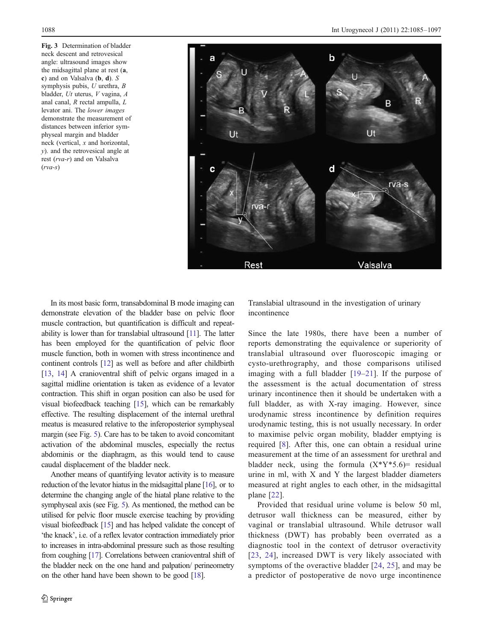<span id="page-3-0"></span>Fig. 3 Determination of bladder neck descent and retrovesical angle: ultrasound images show the midsagittal plane at rest (a, c) and on Valsalva (b, d). S symphysis pubis, U urethra, B bladder, Ut uterus, V vagina, A anal canal, R rectal ampulla, L levator ani. The lower images demonstrate the measurement of distances between inferior symphyseal margin and bladder neck (vertical, x and horizontal, y). and the retrovesical angle at rest (rva-r) and on Valsalva  $(rva-s)$ 



In its most basic form, transabdominal B mode imaging can demonstrate elevation of the bladder base on pelvic floor muscle contraction, but quantification is difficult and repeatability is lower than for translabial ultrasound [\[11](#page-10-0)]. The latter has been employed for the quantification of pelvic floor muscle function, both in women with stress incontinence and continent controls [\[12\]](#page-10-0) as well as before and after childbirth [\[13,](#page-10-0) [14\]](#page-10-0) A cranioventral shift of pelvic organs imaged in a sagittal midline orientation is taken as evidence of a levator contraction. This shift in organ position can also be used for visual biofeedback teaching [\[15\]](#page-10-0), which can be remarkably effective. The resulting displacement of the internal urethral meatus is measured relative to the inferoposterior symphyseal margin (see Fig. [5](#page-5-0)). Care has to be taken to avoid concomitant activation of the abdominal muscles, especially the rectus abdominis or the diaphragm, as this would tend to cause caudal displacement of the bladder neck.

Another means of quantifying levator activity is to measure reduction of the levator hiatus in the midsagittal plane [[16](#page-10-0)], or to determine the changing angle of the hiatal plane relative to the symphyseal axis (see Fig. [5\)](#page-5-0). As mentioned, the method can be utilised for pelvic floor muscle exercise teaching by providing visual biofeedback [\[15\]](#page-10-0) and has helped validate the concept of 'the knack', i.e. of a reflex levator contraction immediately prior to increases in intra-abdominal pressure such as those resulting from coughing [\[17\]](#page-10-0). Correlations between cranioventral shift of the bladder neck on the one hand and palpation/ perineometry on the other hand have been shown to be good [\[18\]](#page-10-0).

Translabial ultrasound in the investigation of urinary incontinence

Since the late 1980s, there have been a number of reports demonstrating the equivalence or superiority of translabial ultrasound over fluoroscopic imaging or cysto-urethrography, and those comparisons utilised imaging with a full bladder [\[19](#page-10-0)–[21\]](#page-10-0). If the purpose of the assessment is the actual documentation of stress urinary incontinence then it should be undertaken with a full bladder, as with X-ray imaging. However, since urodynamic stress incontinence by definition requires urodynamic testing, this is not usually necessary. In order to maximise pelvic organ mobility, bladder emptying is required [[8\]](#page-10-0). After this, one can obtain a residual urine measurement at the time of an assessment for urethral and bladder neck, using the formula  $(X^*Y^*5.6)$  residual urine in ml, with X and Y the largest bladder diameters measured at right angles to each other, in the midsagittal plane [[22\]](#page-10-0).

Provided that residual urine volume is below 50 ml, detrusor wall thickness can be measured, either by vaginal or translabial ultrasound. While detrusor wall thickness (DWT) has probably been overrated as a diagnostic tool in the context of detrusor overactivity [[23,](#page-11-0) [24](#page-11-0)], increased DWT is very likely associated with symptoms of the overactive bladder [\[24,](#page-11-0) [25](#page-11-0)], and may be a predictor of postoperative de novo urge incontinence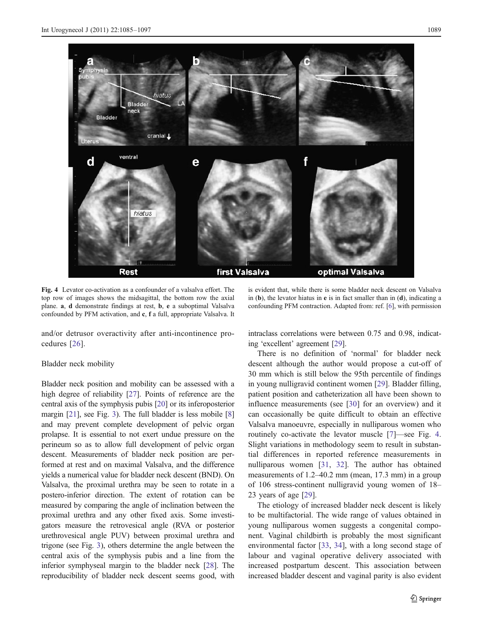<span id="page-4-0"></span>

Fig. 4 Levator co-activation as a confounder of a valsalva effort. The top row of images shows the midsagittal, the bottom row the axial plane. a, d demonstrate findings at rest, b, e a suboptimal Valsalva confounded by PFM activation, and c, f a full, appropriate Valsalva. It

is evident that, while there is some bladder neck descent on Valsalva in (b), the levator hiatus in e is in fact smaller than in (d), indicating a confounding PFM contraction. Adapted from: ref. [\[6](#page-10-0)], with permission

and/or detrusor overactivity after anti-incontinence procedures [[26](#page-11-0)].

#### Bladder neck mobility

Bladder neck position and mobility can be assessed with a high degree of reliability [[27\]](#page-11-0). Points of reference are the central axis of the symphysis pubis [[20\]](#page-10-0) or its inferoposterior margin [\[21\]](#page-10-0), see Fig. [3](#page-3-0)). The full bladder is less mobile [\[8\]](#page-10-0) and may prevent complete development of pelvic organ prolapse. It is essential to not exert undue pressure on the perineum so as to allow full development of pelvic organ descent. Measurements of bladder neck position are performed at rest and on maximal Valsalva, and the difference yields a numerical value for bladder neck descent (BND). On Valsalva, the proximal urethra may be seen to rotate in a postero-inferior direction. The extent of rotation can be measured by comparing the angle of inclination between the proximal urethra and any other fixed axis. Some investigators measure the retrovesical angle (RVA or posterior urethrovesical angle PUV) between proximal urethra and trigone (see Fig. [3](#page-3-0)), others determine the angle between the central axis of the symphysis pubis and a line from the inferior symphyseal margin to the bladder neck [\[28\]](#page-11-0). The reproducibility of bladder neck descent seems good, with

intraclass correlations were between 0.75 and 0.98, indicating 'excellent' agreement [\[29\]](#page-11-0).

There is no definition of 'normal' for bladder neck descent although the author would propose a cut-off of 30 mm which is still below the 95th percentile of findings in young nulligravid continent women [\[29](#page-11-0)]. Bladder filling, patient position and catheterization all have been shown to influence measurements (see [\[30](#page-11-0)] for an overview) and it can occasionally be quite difficult to obtain an effective Valsalva manoeuvre, especially in nulliparous women who routinely co-activate the levator muscle [\[7](#page-10-0)]—see Fig. 4. Slight variations in methodology seem to result in substantial differences in reported reference measurements in nulliparous women [\[31](#page-11-0), [32\]](#page-11-0). The author has obtained measurements of 1.2–40.2 mm (mean, 17.3 mm) in a group of 106 stress-continent nulligravid young women of 18– 23 years of age [\[29](#page-11-0)].

The etiology of increased bladder neck descent is likely to be multifactorial. The wide range of values obtained in young nulliparous women suggests a congenital component. Vaginal childbirth is probably the most significant environmental factor [\[33](#page-11-0), [34](#page-11-0)], with a long second stage of labour and vaginal operative delivery associated with increased postpartum descent. This association between increased bladder descent and vaginal parity is also evident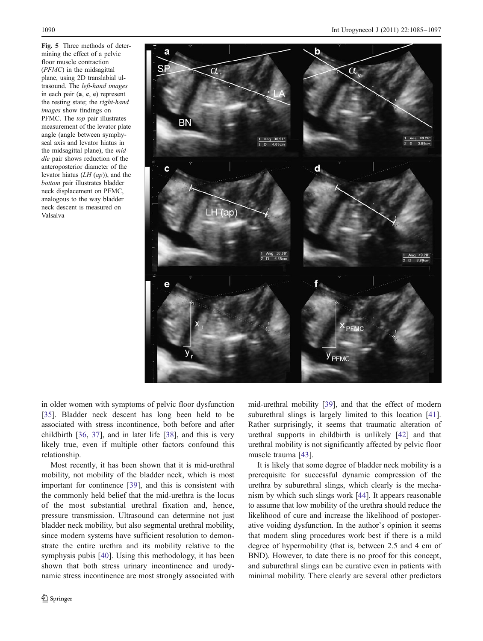<span id="page-5-0"></span>Fig. 5 Three methods of determining the effect of a pelvic floor muscle contraction (PFMC) in the midsagittal plane, using 2D translabial ultrasound. The left-hand images in each pair (a, c, e) represent the resting state; the right-hand images show findings on PFMC. The top pair illustrates measurement of the levator plate angle (angle between symphyseal axis and levator hiatus in the midsagittal plane), the middle pair shows reduction of the anteroposterior diameter of the levator hiatus  $(LH(ap))$ , and the bottom pair illustrates bladder neck displacement on PFMC, analogous to the way bladder neck descent is measured on Valsalva



in older women with symptoms of pelvic floor dysfunction [\[35](#page-11-0)]. Bladder neck descent has long been held to be associated with stress incontinence, both before and after childbirth [[36,](#page-11-0) [37](#page-11-0)], and in later life [[38\]](#page-11-0), and this is very likely true, even if multiple other factors confound this relationship.

Most recently, it has been shown that it is mid-urethral mobility, not mobility of the bladder neck, which is most important for continence [[39\]](#page-11-0), and this is consistent with the commonly held belief that the mid-urethra is the locus of the most substantial urethral fixation and, hence, pressure transmission. Ultrasound can determine not just bladder neck mobility, but also segmental urethral mobility, since modern systems have sufficient resolution to demonstrate the entire urethra and its mobility relative to the symphysis pubis [\[40](#page-11-0)]. Using this methodology, it has been shown that both stress urinary incontinence and urodynamic stress incontinence are most strongly associated with

mid-urethral mobility [[39\]](#page-11-0), and that the effect of modern suburethral slings is largely limited to this location [[41\]](#page-11-0). Rather surprisingly, it seems that traumatic alteration of urethral supports in childbirth is unlikely [\[42](#page-11-0)] and that urethral mobility is not significantly affected by pelvic floor muscle trauma [\[43](#page-11-0)].

It is likely that some degree of bladder neck mobility is a prerequisite for successful dynamic compression of the urethra by suburethral slings, which clearly is the mechanism by which such slings work [[44\]](#page-11-0). It appears reasonable to assume that low mobility of the urethra should reduce the likelihood of cure and increase the likelihood of postoperative voiding dysfunction. In the author's opinion it seems that modern sling procedures work best if there is a mild degree of hypermobility (that is, between 2.5 and 4 cm of BND). However, to date there is no proof for this concept, and suburethral slings can be curative even in patients with minimal mobility. There clearly are several other predictors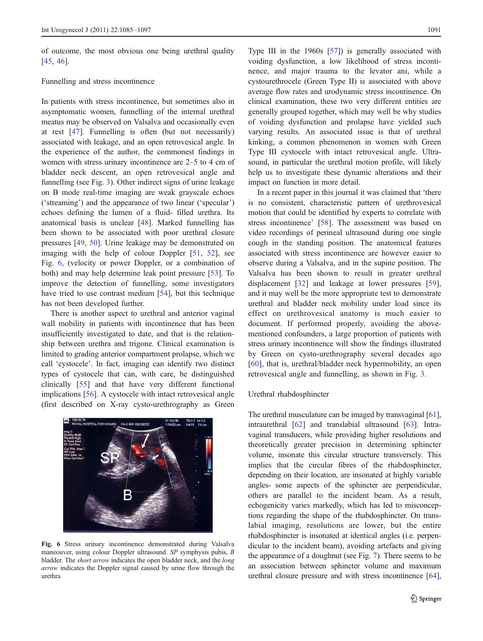of outcome, the most obvious one being urethral quality [\[45](#page-11-0), [46\]](#page-11-0).

#### Funnelling and stress incontinence

In patients with stress incontinence, but sometimes also in asymptomatic women, funnelling of the internal urethral meatus may be observed on Valsalva and occasionally even at rest [\[47](#page-11-0)]. Funnelling is often (but not necessarily) associated with leakage, and an open retrovesical angle. In the experience of the author, the commonest findings in women with stress urinary incontinence are 2–5 to 4 cm of bladder neck descent, an open retrovesical angle and funnelling (see Fig. [3](#page-3-0)). Other indirect signs of urine leakage on B mode real-time imaging are weak grayscale echoes ('streaming') and the appearance of two linear ('specular') echoes defining the lumen of a fluid- filled urethra. Its anatomical basis is unclear [\[48](#page-11-0)]. Marked funnelling has been shown to be associated with poor urethral closure pressures [\[49](#page-11-0), [50](#page-11-0)]. Urine leakage may be demonstrated on imaging with the help of colour Doppler [\[51](#page-11-0), [52](#page-11-0)], see Fig. 6, (velocity or power Doppler, or a combination of both) and may help determine leak point pressure [[53\]](#page-11-0). To improve the detection of funnelling, some investigators have tried to use contrast medium [\[54](#page-11-0)], but this technique has not been developed further.

There is another aspect to urethral and anterior vaginal wall mobility in patients with incontinence that has been insufficiently investigated to date, and that is the relationship between urethra and trigone. Clinical examination is limited to grading anterior compartment prolapse, which we call 'cystocele'. In fact, imaging can identify two distinct types of cystocele that can, with care, be distinguished clinically [[55\]](#page-11-0) and that have very different functional implications [[56\]](#page-11-0). A cystocele with intact retrovesical angle (first described on X-ray cysto-urethrography as Green



Fig. 6 Stress urinary incontinence demonstrated during Valsalva maneouver, using colour Doppler ultrasound. SP symphysis pubis, B bladder. The short arrow indicates the open bladder neck, and the long arrow indicates the Doppler signal caused by urine flow through the urethra

Type III in the 1960s [[57\]](#page-11-0)) is generally associated with voiding dysfunction, a low likelihood of stress incontinence, and major trauma to the levator ani, while a cystourethrocele (Green Type II) is associated with above average flow rates and urodynamic stress incontinence. On clinical examination, these two very different entities are generally grouped together, which may well be why studies of voiding dysfunction and prolapse have yielded such varying results. An associated issue is that of urethral kinking, a common phenomenon in women with Green Type III cystocele with intact retrovesical angle. Ultrasound, in particular the urethral motion profile, will likely help us to investigate these dynamic alterations and their impact on function in more detail.

In a recent paper in this journal it was claimed that 'there is no consistent, characteristic pattern of urethrovesical motion that could be identified by experts to correlate with stress incontinence' [\[58](#page-11-0)]. The assessment was based on video recordings of perineal ultrasound during one single cough in the standing position. The anatomical features associated with stress incontinence are however easier to observe during a Valsalva, and in the supine position. The Valsalva has been shown to result in greater urethral displacement [\[32](#page-11-0)] and leakage at lower pressures [[59\]](#page-11-0), and it may well be the more appropriate test to demonstrate urethral and bladder neck mobility under load since its effect on urethrovesical anatomy is much easier to document. If performed properly, avoiding the abovementioned confounders, a large proportion of patients with stress urinary incontinence will show the findings illustrated by Green on cysto-urethrography several decades ago [\[60\]](#page-11-0), that is, urethral/bladder neck hypermobility, an open retrovesical angle and funnelling, as shown in Fig. [3.](#page-3-0)

#### Urethral rhabdosphincter

The urethral musculature can be imaged by transvaginal [[61\]](#page-11-0), intraurethral [[62](#page-11-0)] and translabial ultrasound [[63\]](#page-11-0). Intravaginal transducers, while providing higher resolutions and theoretically greater precision in determining sphincter volume, insonate this circular structure transversely. This implies that the circular fibres of the rhabdosphincter, depending on their location, are insonated at highly variable angles- some aspects of the sphincter are perpendicular, others are parallel to the incident beam. As a result, echogenicity varies markedly, which has led to misconceptions regarding the shape of the rhabdosphincter. On translabial imaging, resolutions are lower, but the entire rhabdosphincter is insonated at identical angles (i.e. perpendicular to the incident beam), avoiding artefacts and giving the appearance of a doughnut (see Fig. [7](#page-7-0)). There seems to be an association between sphincter volume and maximum urethral closure pressure and with stress incontinence [[64\]](#page-11-0),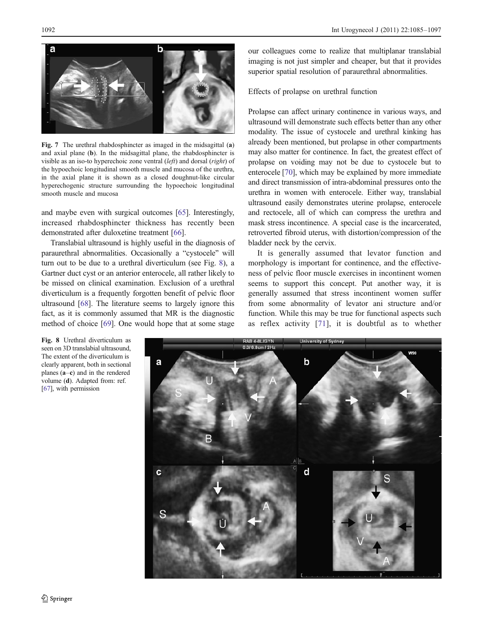<span id="page-7-0"></span>

Fig. 7 The urethral rhabdosphincter as imaged in the midsagittal (a) and axial plane (b). In the midsagittal plane, the rhabdosphincter is visible as an iso-to hyperechoic zone ventral (left) and dorsal (right) of the hypoechoic longitudinal smooth muscle and mucosa of the urethra, in the axial plane it is shown as a closed doughnut-like circular hyperechogenic structure surrounding the hypoechoic longitudinal smooth muscle and mucosa

and maybe even with surgical outcomes [[65](#page-11-0)]. Interestingly, increased rhabdosphincter thickness has recently been demonstrated after duloxetine treatment [\[66\]](#page-11-0).

Translabial ultrasound is highly useful in the diagnosis of paraurethral abnormalities. Occasionally a "cystocele" will turn out to be due to a urethral diverticulum (see Fig. 8), a Gartner duct cyst or an anterior enterocele, all rather likely to be missed on clinical examination. Exclusion of a urethral diverticulum is a frequently forgotten benefit of pelvic floor ultrasound [\[68\]](#page-12-0). The literature seems to largely ignore this fact, as it is commonly assumed that MR is the diagnostic method of choice [\[69](#page-12-0)]. One would hope that at some stage

our colleagues come to realize that multiplanar translabial imaging is not just simpler and cheaper, but that it provides superior spatial resolution of paraurethral abnormalities.

Effects of prolapse on urethral function

Prolapse can affect urinary continence in various ways, and ultrasound will demonstrate such effects better than any other modality. The issue of cystocele and urethral kinking has already been mentioned, but prolapse in other compartments may also matter for continence. In fact, the greatest effect of prolapse on voiding may not be due to cystocele but to enterocele [\[70\]](#page-12-0), which may be explained by more immediate and direct transmission of intra-abdominal pressures onto the urethra in women with enterocele. Either way, translabial ultrasound easily demonstrates uterine prolapse, enterocele and rectocele, all of which can compress the urethra and mask stress incontinence. A special case is the incarcerated, retroverted fibroid uterus, with distortion/compression of the bladder neck by the cervix.

It is generally assumed that levator function and morphology is important for continence, and the effectiveness of pelvic floor muscle exercises in incontinent women seems to support this concept. Put another way, it is generally assumed that stress incontinent women suffer from some abnormality of levator ani structure and/or function. While this may be true for functional aspects such as reflex activity [\[71\]](#page-12-0), it is doubtful as to whether



Fig. 8 Urethral diverticulum as seen on 3D translabial ultrasound, The extent of the diverticulum is clearly apparent, both in sectional planes  $(a-c)$  and in the rendered volume (d). Adapted from: ref. [[67\]](#page-12-0), with permission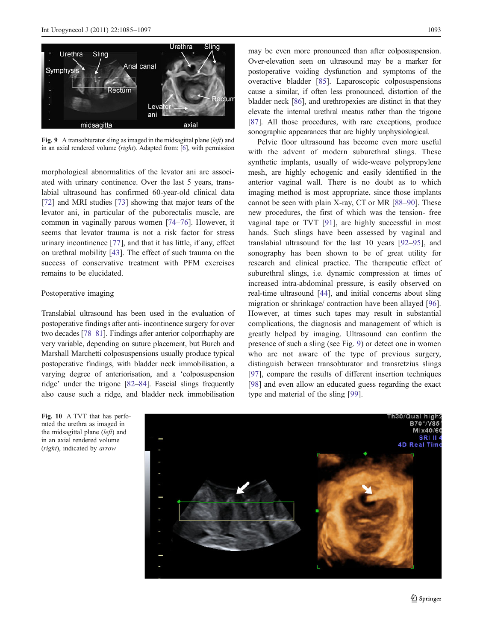<span id="page-8-0"></span>

Fig. 9 A transobturator sling as imaged in the midsagittal plane (left) and in an axial rendered volume (right). Adapted from: [\[6](#page-10-0)], with permission

morphological abnormalities of the levator ani are associated with urinary continence. Over the last 5 years, translabial ultrasound has confirmed 60-year-old clinical data [\[72](#page-12-0)] and MRI studies [[73\]](#page-12-0) showing that major tears of the levator ani, in particular of the puborectalis muscle, are common in vaginally parous women [\[74](#page-12-0)–[76](#page-12-0)]. However, it seems that levator trauma is not a risk factor for stress urinary incontinence [[77\]](#page-12-0), and that it has little, if any, effect on urethral mobility [[43\]](#page-11-0). The effect of such trauma on the success of conservative treatment with PFM exercises remains to be elucidated.

## Postoperative imaging

Translabial ultrasound has been used in the evaluation of postoperative findings after anti- incontinence surgery for over two decades [\[78](#page-12-0)–[81](#page-12-0)]. Findings after anterior colporrhaphy are very variable, depending on suture placement, but Burch and Marshall Marchetti colposuspensions usually produce typical postoperative findings, with bladder neck immobilisation, a varying degree of anteriorisation, and a 'colposuspension ridge' under the trigone [[82](#page-12-0)–[84\]](#page-12-0). Fascial slings frequently also cause such a ridge, and bladder neck immobilisation

may be even more pronounced than after colposuspension. Over-elevation seen on ultrasound may be a marker for postoperative voiding dysfunction and symptoms of the overactive bladder [[85\]](#page-12-0). Laparoscopic colposuspensions cause a similar, if often less pronounced, distortion of the bladder neck [[86](#page-12-0)], and urethropexies are distinct in that they elevate the internal urethral meatus rather than the trigone [\[87\]](#page-12-0). All those procedures, with rare exceptions, produce sonographic appearances that are highly unphysiological.

Pelvic floor ultrasound has become even more useful with the advent of modern suburethral slings. These synthetic implants, usually of wide-weave polypropylene mesh, are highly echogenic and easily identified in the anterior vaginal wall. There is no doubt as to which imaging method is most appropriate, since those implants cannot be seen with plain X-ray, CT or MR [\[88](#page-12-0)–[90\]](#page-12-0). These new procedures, the first of which was the tension- free vaginal tape or TVT [[91\]](#page-12-0), are highly successful in most hands. Such slings have been assessed by vaginal and translabial ultrasound for the last 10 years [\[92](#page-12-0)–[95](#page-12-0)], and sonography has been shown to be of great utility for research and clinical practice. The therapeutic effect of suburethral slings, i.e. dynamic compression at times of increased intra-abdominal pressure, is easily observed on real-time ultrasound [[44\]](#page-11-0), and initial concerns about sling migration or shrinkage/ contraction have been allayed [[96\]](#page-12-0). However, at times such tapes may result in substantial complications, the diagnosis and management of which is greatly helped by imaging. Ultrasound can confirm the presence of such a sling (see Fig. 9) or detect one in women who are not aware of the type of previous surgery, distinguish between transobturator and transretzius slings [\[97](#page-12-0)], compare the results of different insertion techniques [\[98](#page-12-0)] and even allow an educated guess regarding the exact type and material of the sling [\[99](#page-12-0)].



Fig. 10 A TVT that has perforated the urethra as imaged in the midsagittal plane (left) and in an axial rendered volume (right), indicated by arrow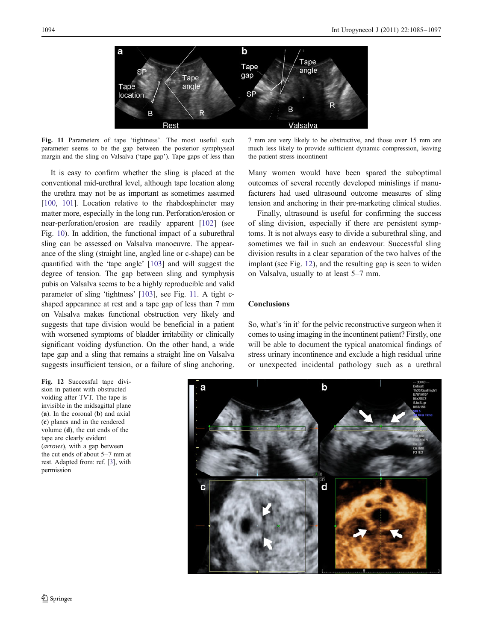

Fig. 11 Parameters of tape 'tightness'. The most useful such parameter seems to be the gap between the posterior symphyseal margin and the sling on Valsalva ('tape gap'). Tape gaps of less than

7 mm are very likely to be obstructive, and those over 15 mm are much less likely to provide sufficient dynamic compression, leaving the patient stress incontinent

It is easy to confirm whether the sling is placed at the conventional mid-urethral level, although tape location along the urethra may not be as important as sometimes assumed [\[100,](#page-12-0) [101](#page-12-0)]. Location relative to the rhabdosphincter may matter more, especially in the long run. Perforation/erosion or near-perforation/erosion are readily apparent [[102\]](#page-12-0) (see Fig. [10\)](#page-8-0). In addition, the functional impact of a suburethral sling can be assessed on Valsalva manoeuvre. The appearance of the sling (straight line, angled line or c-shape) can be quantified with the 'tape angle' [\[103\]](#page-12-0) and will suggest the degree of tension. The gap between sling and symphysis pubis on Valsalva seems to be a highly reproducible and valid parameter of sling 'tightness' [\[103\]](#page-12-0), see Fig. 11. A tight cshaped appearance at rest and a tape gap of less than 7 mm on Valsalva makes functional obstruction very likely and suggests that tape division would be beneficial in a patient with worsened symptoms of bladder irritability or clinically significant voiding dysfunction. On the other hand, a wide tape gap and a sling that remains a straight line on Valsalva suggests insufficient tension, or a failure of sling anchoring.

Fig. 12 Successful tape division in patient with obstructed voiding after TVT. The tape is invisible in the midsagittal plane (a). In the coronal (b) and axial (c) planes and in the rendered volume (d), the cut ends of the tape are clearly evident (arrows), with a gap between the cut ends of about 5–7 mm at rest. Adapted from: ref. [\[3\]](#page-10-0), with permission

Many women would have been spared the suboptimal outcomes of several recently developed minislings if manufacturers had used ultrasound outcome measures of sling tension and anchoring in their pre-marketing clinical studies.

Finally, ultrasound is useful for confirming the success of sling division, especially if there are persistent symptoms. It is not always easy to divide a suburethral sling, and sometimes we fail in such an endeavour. Successful sling division results in a clear separation of the two halves of the implant (see Fig. 12), and the resulting gap is seen to widen on Valsalva, usually to at least 5–7 mm.

# Conclusions

So, what's 'in it' for the pelvic reconstructive surgeon when it comes to using imaging in the incontinent patient? Firstly, one will be able to document the typical anatomical findings of stress urinary incontinence and exclude a high residual urine or unexpected incidental pathology such as a urethral

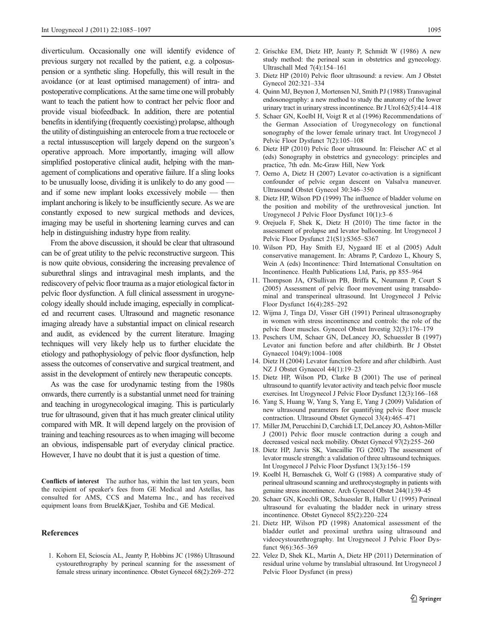<span id="page-10-0"></span>diverticulum. Occasionally one will identify evidence of previous surgery not recalled by the patient, e.g. a colposuspension or a synthetic sling. Hopefully, this will result in the avoidance (or at least optimised management) of intra- and postoperative complications. At the same time one will probably want to teach the patient how to contract her pelvic floor and provide visual biofeedback. In addition, there are potential benefits in identifying (frequently coexisting) prolapse, although the utility of distinguishing an enterocele from a true rectocele or a rectal intussusception will largely depend on the surgeon's operative approach. More importantly, imaging will allow simplified postoperative clinical audit, helping with the management of complications and operative failure. If a sling looks to be unusually loose, dividing it is unlikely to do any good and if some new implant looks excessively mobile — then implant anchoring is likely to be insufficiently secure. As we are constantly exposed to new surgical methods and devices, imaging may be useful in shortening learning curves and can help in distinguishing industry hype from reality.

From the above discussion, it should be clear that ultrasound can be of great utility to the pelvic reconstructive surgeon. This is now quite obvious, considering the increasing prevalence of suburethral slings and intravaginal mesh implants, and the rediscovery of pelvic floor trauma as a major etiological factor in pelvic floor dysfunction. A full clinical assessment in urogynecology ideally should include imaging, especially in complicated and recurrent cases. Ultrasound and magnetic resonance imaging already have a substantial impact on clinical research and audit, as evidenced by the current literature. Imaging techniques will very likely help us to further elucidate the etiology and pathophysiology of pelvic floor dysfunction, help assess the outcomes of conservative and surgical treatment, and assist in the development of entirely new therapeutic concepts.

As was the case for urodynamic testing from the 1980s onwards, there currently is a substantial unmet need for training and teaching in urogynecological imaging. This is particularly true for ultrasound, given that it has much greater clinical utility compared with MR. It will depend largely on the provision of training and teaching resources as to when imaging will become an obvious, indispensable part of everyday clinical practice. However, I have no doubt that it is just a question of time.

Conflicts of interest The author has, within the last ten years, been consulted for AMS, CCS and Materna Inc., and has received equipment loans from Bruel&Kjaer, Toshiba and GE Medical. the recipient of speaker's fees from GE Medical and Astellas, has

#### References

1. Kohorn EI, Scioscia AL, Jeanty P, Hobbins JC (1986) Ultrasound cystourethrography by perineal scanning for the assessment of female stress urinary incontinence. Obstet Gynecol 68(2):269–272

- 2. Grischke EM, Dietz HP, Jeanty P, Schmidt W (1986) A new study method: the perineal scan in obstetrics and gynecology. Ultraschall Med 7(4):154–161
- 3. Dietz HP (2010) Pelvic floor ultrasound: a review. Am J Obstet Gynecol 202:321–334
- 4. Quinn MJ, Beynon J, Mortensen NJ, Smith PJ (1988) Transvaginal endosonography: a new method to study the anatomy of the lower urinary tract in urinary stress incontinence. Br J Urol 62(5):414–418
- 5. Schaer GN, Koelbl H, Voigt R et al (1996) Recommendations of the German Association of Urogynecology on functional sonography of the lower female urinary tract. Int Urogynecol J Pelvic Floor Dysfunct 7(2):105–108
- 6. Dietz HP (2010) Pelvic floor ultrasound. In: Fleischer AC et al (eds) Sonography in obstetrics and gynecology: principles and practice, 7th edn. Mc-Graw Hill, New York
- 7. Oerno A, Dietz H (2007) Levator co-activation is a significant confounder of pelvic organ descent on Valsalva maneuver. Ultrasound Obstet Gynecol 30:346–350
- 8. Dietz HP, Wilson PD (1999) The influence of bladder volume on the position and mobility of the urethrovesical junction. Int Urogynecol J Pelvic Floor Dysfunct 10(1):3–6
- 9. Orejuela F, Shek K, Dietz H (2010) The time factor in the assessment of prolapse and levator ballooning. Int Urogynecol J Pelvic Floor Dysfunct 21(S1):S365–S367
- 10. Wilson PD, Hay Smith EJ, Nygaard IE et al (2005) Adult conservative management. In: Abrams P, Cardozo L, Khoury S, Wein A (eds) Incontinence: Third International Consultation on Incontinence. Health Publications Ltd, Paris, pp 855–964
- 11. Thompson JA, O'Sullivan PB, Briffa K, Neumann P, Court S (2005) Assessment of pelvic floor movement using transabdominal and transperineal ultrasound. Int Urogynecol J Pelvic Floor Dysfunct 16(4):285–292
- 12. Wijma J, Tinga DJ, Visser GH (1991) Perineal ultrasonography in women with stress incontinence and controls: the role of the pelvic floor muscles. Gynecol Obstet Investig 32(3):176–179
- 13. Peschers UM, Schaer GN, DeLancey JO, Schuessler B (1997) Levator ani function before and after childbirth. Br J Obstet Gynaecol 104(9):1004–1008
- 14. Dietz H (2004) Levator function before and after childbirth. Aust NZ J Obstet Gynaecol 44(1):19–23
- 15. Dietz HP, Wilson PD, Clarke B (2001) The use of perineal ultrasound to quantify levator activity and teach pelvic floor muscle exercises. Int Urogynecol J Pelvic Floor Dysfunct 12(3):166–168
- 16. Yang S, Huang W, Yang S, Yang E, Yang J (2009) Validation of new ultrasound parameters for quantifying pelvic floor muscle contraction. Ultrasound Obstet Gynecol 33(4):465–471
- 17. Miller JM, Perucchini D, Carchidi LT, DeLancey JO, Ashton-Miller J (2001) Pelvic floor muscle contraction during a cough and decreased vesical neck mobility. Obstet Gynecol 97(2):255–260
- 18. Dietz HP, Jarvis SK, Vancaillie TG (2002) The assessment of levator muscle strength: a validation of three ultrasound techniques. Int Urogynecol J Pelvic Floor Dysfunct 13(3):156–159
- 19. Koelbl H, Bernaschek G, Wolf G (1988) A comparative study of perineal ultrasound scanning and urethrocystography in patients with genuine stress incontinence. Arch Gynecol Obstet 244(1):39–45
- 20. Schaer GN, Koechli OR, Schuessler B, Haller U (1995) Perineal ultrasound for evaluating the bladder neck in urinary stress incontinence. Obstet Gynecol 85(2):220–224
- 21. Dietz HP, Wilson PD (1998) Anatomical assessment of the bladder outlet and proximal urethra using ultrasound and videocystourethrography. Int Urogynecol J Pelvic Floor Dysfunct 9(6):365–369
- 22. Velez D, Shek KL, Martin A, Dietz HP (2011) Determination of residual urine volume by translabial ultrasound. Int Urogynecol J Pelvic Floor Dysfunct (in press)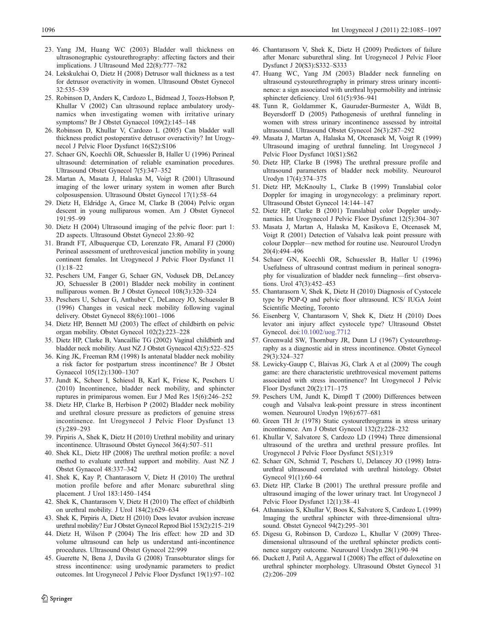- <span id="page-11-0"></span>23. Yang JM, Huang WC (2003) Bladder wall thickness on ultrasonographic cystourethrography: affecting factors and their implications. J Ultrasound Med 22(8):777–782
- 24. Lekskulchai O, Dietz H (2008) Detrusor wall thickness as a test for detrusor overactivity in women. Ultrasound Obstet Gynecol 32:535–539
- 25. Robinson D, Anders K, Cardozo L, Bidmead J, Toozs-Hobson P, Khullar V (2002) Can ultrasound replace ambulatory urodynamics when investigating women with irritative urinary symptoms? Br J Obstet Gynaecol 109(2):145–148
- 26. Robinson D, Khullar V, Cardozo L (2005) Can bladder wall thickness predict postoperative detrusor overactivity? Int Urogynecol J Pelvic Floor Dysfunct 16(S2):S106
- 27. Schaer GN, Koechli OR, Schuessler B, Haller U (1996) Perineal ultrasound: determination of reliable examination procedures. Ultrasound Obstet Gynecol 7(5):347–352
- 28. Martan A, Masata J, Halaska M, Voigt R (2001) Ultrasound imaging of the lower urinary system in women after Burch colposuspension. Ultrasound Obstet Gynecol 17(1):58–64
- 29. Dietz H, Eldridge A, Grace M, Clarke B (2004) Pelvic organ descent in young nulliparous women. Am J Obstet Gynecol 191:95–99
- 30. Dietz H (2004) Ultrasound imaging of the pelvic floor: part 1: 2D aspects. Ultrasound Obstet Gynecol 23:80–92
- 31. Brandt FT, Albuquerque CD, Lorenzato FR, Amaral FJ (2000) Perineal assessment of urethrovesical junction mobility in young continent females. Int Urogynecol J Pelvic Floor Dysfunct 11  $(1):18-22$
- 32. Peschers UM, Fanger G, Schaer GN, Vodusek DB, DeLancey JO, Schuessler B (2001) Bladder neck mobility in continent nulliparous women. Br J Obstet Gynecol 108(3):320–324
- 33. Peschers U, Schaer G, Anthuber C, DeLancey JO, Schuessler B (1996) Changes in vesical neck mobility following vaginal delivery. Obstet Gynecol 88(6):1001–1006
- 34. Dietz HP, Bennett MJ (2003) The effect of childbirth on pelvic organ mobility. Obstet Gynecol 102(2):223–228
- 35. Dietz HP, Clarke B, Vancaillie TG (2002) Vaginal childbirth and bladder neck mobility. Aust NZ J Obstet Gyneacol 42(5):522–525
- 36. King JK, Freeman RM (1998) Is antenatal bladder neck mobility a risk factor for postpartum stress incontinence? Br J Obstet Gynaecol 105(12):1300–1307
- 37. Jundt K, Scheer I, Schiessl B, Karl K, Friese K, Peschers U (2010) Incontinence, bladder neck mobility, and sphincter ruptures in primiparous women. Eur J Med Res 15(6):246–252
- 38. Dietz HP, Clarke B, Herbison P (2002) Bladder neck mobility and urethral closure pressure as predictors of genuine stress incontinence. Int Urogynecol J Pelvic Floor Dysfunct 13 (5):289–293
- 39. Pirpiris A, Shek K, Dietz H (2010) Urethral mobility and urinary incontinence. Ultrasound Obstet Gynecol 36(4):507–511
- 40. Shek KL, Dietz HP (2008) The urethral motion profile: a novel method to evaluate urethral support and mobility. Aust NZ J Obstet Gynaecol 48:337–342
- 41. Shek K, Kay P, Chantarasorn V, Dietz H (2010) The urethral motion profile before and after Monarc suburethral sling placement. J Urol 183:1450–1454
- 42. Shek K, Chantarasorn V, Dietz H (2010) The effect of childbirth on urethral mobility. J Urol 184(2):629–634
- 43. Shek K, Pirpiris A, Dietz H (2010) Does levator avulsion increase urethral mobility? Eur J Obstet Gynecol Reprod Biol 153(2):215–219
- 44. Dietz H, Wilson P (2004) The Iris effect: how 2D and 3D volume ultrasound can help us understand anti-incontinence procedures. Ultrasound Obstet Gynecol 22:999
- 45. Guerette N, Bena J, Davila G (2008) Transobturator slings for stress incontinence: using urodynamic parameters to predict outcomes. Int Urogynecol J Pelvic Floor Dysfunct 19(1):97–102
- 46. Chantarasorn V, Shek K, Dietz H (2009) Predictors of failure after Monarc suburethral sling. Int Urogynecol J Pelvic Floor Dysfunct J 20(S3):S332–S333
- 47. Huang WC, Yang JM (2003) Bladder neck funneling on ultrasound cystourethrography in primary stress urinary incontinence: a sign associated with urethral hypermobility and intrinsic sphincter deficiency. Urol 61(5):936–941
- 48. Tunn R, Goldammer K, Gauruder-Burmester A, Wildt B, Beyersdorff D (2005) Pathogenesis of urethral funneling in women with stress urinary incontinence assessed by introital ultrasound. Ultrasound Obstet Gynecol 26(3):287–292
- 49. Masata J, Martan A, Halaska M, Otcenasek M, Voigt R (1999) Ultrasound imaging of urethral funneling. Int Urogynecol J Pelvic Floor Dysfunct 10(S1):S62
- 50. Dietz HP, Clarke B (1998) The urethral pressure profile and ultrasound parameters of bladder neck mobility. Neurourol Urodyn 17(4):374–375
- 51. Dietz HP, McKnoulty L, Clarke B (1999) Translabial color Doppler for imaging in urogynecology: a preliminary report. Ultrasound Obstet Gynecol 14:144–147
- 52. Dietz HP, Clarke B (2001) Translabial color Doppler urodynamics. Int Urogynecol J Pelvic Floor Dysfunct 12(5):304–307
- 53. Masata J, Martan A, Halaska M, Kasikova E, Otcenasek M, Voigt R (2001) Detection of Valsalva leak point pressure with colour Doppler—new method for routine use. Neurourol Urodyn 20(4):494–496
- 54. Schaer GN, Koechli OR, Schuessler B, Haller U (1996) Usefulness of ultrasound contrast medium in perineal sonography for visualization of bladder neck funneling—first observations. Urol 47(3):452–453
- 55. Chantarasorn V, Shek K, Dietz H (2010) Diagnosis of Cystocele type by POP-Q and pelvic floor ultrasound. ICS/ IUGA Joint Scientific Meeting, Toronto
- 56. Eisenberg V, Chantarasorn V, Shek K, Dietz H (2010) Does levator ani injury affect cystocele type? Ultrasound Obstet Gynecol. doi:[10.1002/uog.7712](http://dx.doi.org/10.1002/uog.7712)
- 57. Greenwald SW, Thornbury JR, Dunn LJ (1967) Cystourethrography as a diagnostic aid in stress incontinence. Obstet Gynecol 29(3):324–327
- 58. Lewicky-Gaupp C, Blaivas JG, Clark A et al (2009) The cough game: are there characteristic urethtrovesical movement patterns associated with stress incontinence? Int Urogynecol J Pelvic Floor Dysfunct 20(2):171–175
- 59. Peschers UM, Jundt K, Dimpfl T (2000) Differences between cough and Valsalva leak-point pressure in stress incontinent women. Neurourol Urodyn 19(6):677–681
- 60. Green TH Jr (1978) Static cystourethrograms in stress urinary incontinence. Am J Obstet Gynecol 132(2):228–232
- 61. Khullar V, Salvatore S, Cardozo LD (1994) Three dimensional ultrasound of the urethra and urethral pressure profiles. Int Urogynecol J Pelvic Floor Dysfunct 5(S1):319
- 62. Schaer GN, Schmid T, Peschers U, Delancey JO (1998) Intraurethral ultrasound correlated with urethral histology. Obstet Gynecol 91(1):60–64
- 63. Dietz HP, Clarke B (2001) The urethral pressure profile and ultrasound imaging of the lower urinary tract. Int Urogynecol J Pelvic Floor Dysfunct 12(1):38–41
- 64. Athanasiou S, Khullar V, Boos K, Salvatore S, Cardozo L (1999) Imaging the urethral sphincter with three-dimensional ultrasound. Obstet Gynecol 94(2):295–301
- 65. Digesu G, Robinson D, Cardozo L, Khullar V (2009) Threedimensional ultrasound of the urethral sphincter predicts continence surgery outcome. Neurourol Urodyn 28(1):90–94
- 66. Duckett J, Patil A, Aggarwal I (2008) The effect of duloxetine on urethral sphincter morphology. Ultrasound Obstet Gynecol 31 (2):206–209